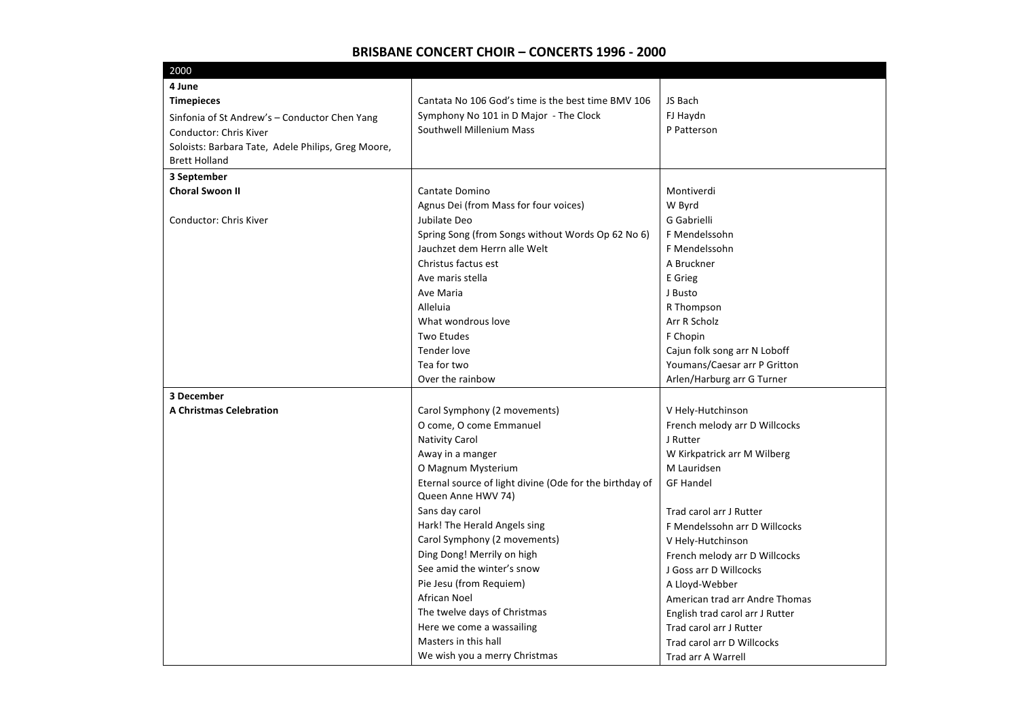| 2000                                               |                                                         |                                 |
|----------------------------------------------------|---------------------------------------------------------|---------------------------------|
| 4 June                                             |                                                         |                                 |
| <b>Timepieces</b>                                  | Cantata No 106 God's time is the best time BMV 106      | JS Bach                         |
| Sinfonia of St Andrew's - Conductor Chen Yang      | Symphony No 101 in D Major - The Clock                  | FJ Haydn                        |
| Conductor: Chris Kiver                             | Southwell Millenium Mass                                | P Patterson                     |
| Soloists: Barbara Tate, Adele Philips, Greg Moore, |                                                         |                                 |
| <b>Brett Holland</b>                               |                                                         |                                 |
| 3 September                                        |                                                         |                                 |
| <b>Choral Swoon II</b>                             | Cantate Domino                                          | Montiverdi                      |
|                                                    | Agnus Dei (from Mass for four voices)                   | W Byrd                          |
| Conductor: Chris Kiver                             | Jubilate Deo                                            | G Gabrielli                     |
|                                                    | Spring Song (from Songs without Words Op 62 No 6)       | F Mendelssohn                   |
|                                                    | Jauchzet dem Herrn alle Welt                            | F Mendelssohn                   |
|                                                    | Christus factus est                                     | A Bruckner                      |
|                                                    | Ave maris stella                                        | E Grieg                         |
|                                                    | Ave Maria                                               | J Busto                         |
|                                                    | Alleluia                                                | R Thompson                      |
|                                                    | What wondrous love                                      | Arr R Scholz                    |
|                                                    | Two Etudes                                              | F Chopin                        |
|                                                    | Tender love                                             | Cajun folk song arr N Loboff    |
|                                                    | Tea for two                                             | Youmans/Caesar arr P Gritton    |
|                                                    | Over the rainbow                                        | Arlen/Harburg arr G Turner      |
| 3 December                                         |                                                         |                                 |
| <b>A Christmas Celebration</b>                     | Carol Symphony (2 movements)                            | V Hely-Hutchinson               |
|                                                    | O come, O come Emmanuel                                 | French melody arr D Willcocks   |
|                                                    | <b>Nativity Carol</b>                                   | J Rutter                        |
|                                                    | Away in a manger                                        | W Kirkpatrick arr M Wilberg     |
|                                                    | O Magnum Mysterium                                      | M Lauridsen                     |
|                                                    | Eternal source of light divine (Ode for the birthday of | <b>GF Handel</b>                |
|                                                    | Queen Anne HWV 74)                                      |                                 |
|                                                    | Sans day carol                                          | Trad carol arr J Rutter         |
|                                                    | Hark! The Herald Angels sing                            | F Mendelssohn arr D Willcocks   |
|                                                    | Carol Symphony (2 movements)                            | V Hely-Hutchinson               |
|                                                    | Ding Dong! Merrily on high                              | French melody arr D Willcocks   |
|                                                    | See amid the winter's snow                              | J Goss arr D Willcocks          |
|                                                    | Pie Jesu (from Requiem)                                 | A Lloyd-Webber                  |
|                                                    | African Noel                                            | American trad arr Andre Thomas  |
|                                                    | The twelve days of Christmas                            | English trad carol arr J Rutter |
|                                                    | Here we come a wassailing                               | Trad carol arr J Rutter         |
|                                                    | Masters in this hall                                    | Trad carol arr D Willcocks      |
|                                                    | We wish you a merry Christmas                           | Trad arr A Warrell              |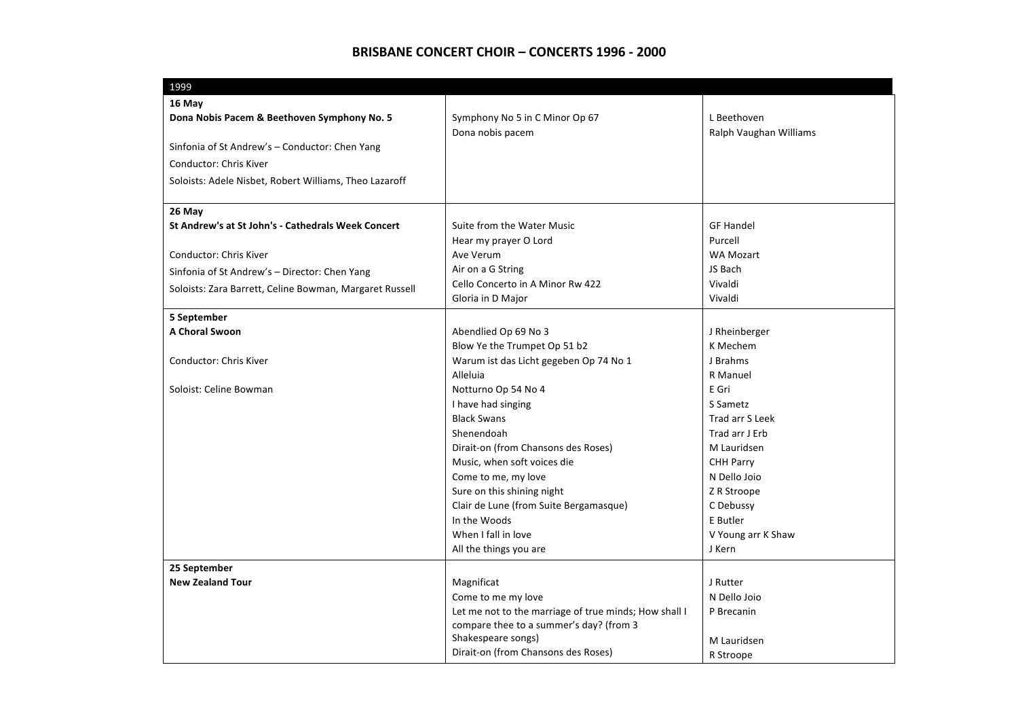| 1999                                                    |                                                       |                        |
|---------------------------------------------------------|-------------------------------------------------------|------------------------|
| 16 May                                                  |                                                       |                        |
| Dona Nobis Pacem & Beethoven Symphony No. 5             | Symphony No 5 in C Minor Op 67                        | L Beethoven            |
|                                                         | Dona nobis pacem                                      | Ralph Vaughan Williams |
| Sinfonia of St Andrew's - Conductor: Chen Yang          |                                                       |                        |
| <b>Conductor: Chris Kiver</b>                           |                                                       |                        |
| Soloists: Adele Nisbet, Robert Williams, Theo Lazaroff  |                                                       |                        |
| 26 May                                                  |                                                       |                        |
| St Andrew's at St John's - Cathedrals Week Concert      | Suite from the Water Music                            | <b>GF Handel</b>       |
|                                                         | Hear my prayer O Lord                                 | Purcell                |
| Conductor: Chris Kiver                                  | Ave Verum                                             | <b>WA Mozart</b>       |
| Sinfonia of St Andrew's - Director: Chen Yang           | Air on a G String                                     | JS Bach                |
| Soloists: Zara Barrett, Celine Bowman, Margaret Russell | Cello Concerto in A Minor Rw 422                      | Vivaldi                |
|                                                         | Gloria in D Major                                     | Vivaldi                |
| 5 September                                             |                                                       |                        |
| A Choral Swoon                                          | Abendlied Op 69 No 3                                  | J Rheinberger          |
|                                                         | Blow Ye the Trumpet Op 51 b2                          | K Mechem               |
| <b>Conductor: Chris Kiver</b>                           | Warum ist das Licht gegeben Op 74 No 1                | J Brahms               |
|                                                         | Alleluia                                              | R Manuel               |
| Soloist: Celine Bowman                                  | Notturno Op 54 No 4                                   | E Gri                  |
|                                                         | I have had singing                                    | S Sametz               |
|                                                         | <b>Black Swans</b>                                    | Trad arr S Leek        |
|                                                         | Shenendoah                                            | Trad arr J Erb         |
|                                                         | Dirait-on (from Chansons des Roses)                   | M Lauridsen            |
|                                                         | Music, when soft voices die                           | <b>CHH Parry</b>       |
|                                                         | Come to me, my love                                   | N Dello Joio           |
|                                                         | Sure on this shining night                            | Z R Stroope            |
|                                                         | Clair de Lune (from Suite Bergamasque)                | C Debussy              |
|                                                         | In the Woods                                          | E Butler               |
|                                                         | When I fall in love                                   | V Young arr K Shaw     |
|                                                         | All the things you are                                | J Kern                 |
| 25 September                                            |                                                       |                        |
| <b>New Zealand Tour</b>                                 | Magnificat                                            | J Rutter               |
|                                                         | Come to me my love                                    | N Dello Joio           |
|                                                         | Let me not to the marriage of true minds; How shall I | P Brecanin             |
|                                                         | compare thee to a summer's day? (from 3               |                        |
|                                                         | Shakespeare songs)                                    | M Lauridsen            |
|                                                         | Dirait-on (from Chansons des Roses)                   | R Stroope              |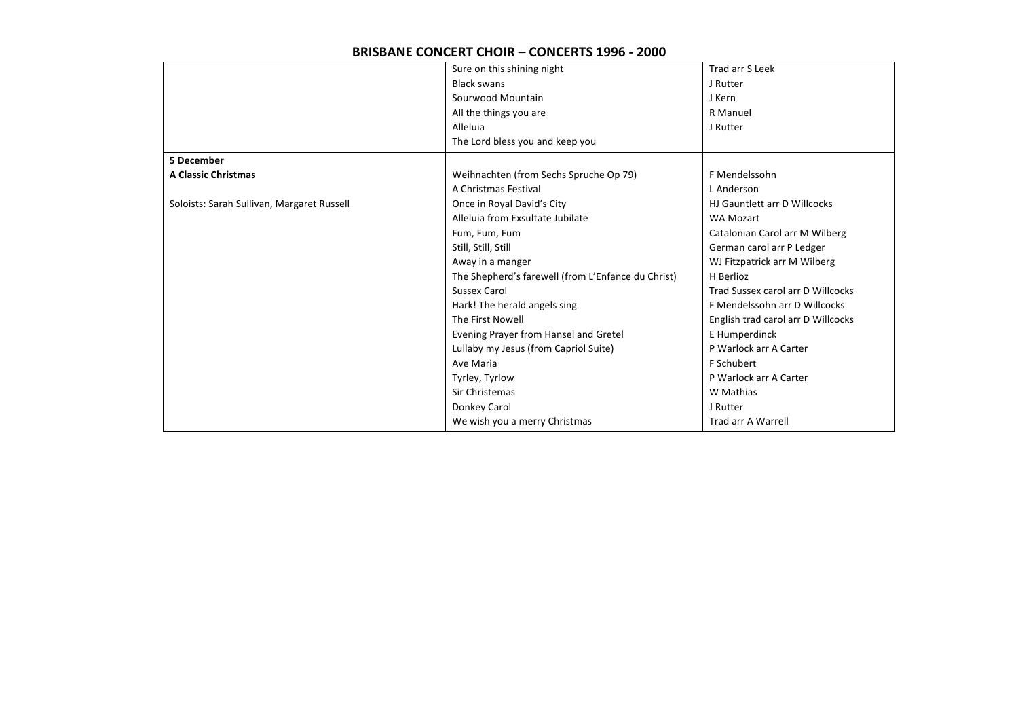|                                            | Sure on this shining night                         | Trad arr S Leek                    |
|--------------------------------------------|----------------------------------------------------|------------------------------------|
|                                            | <b>Black swans</b>                                 | J Rutter                           |
|                                            | Sourwood Mountain                                  | J Kern                             |
|                                            | All the things you are                             | R Manuel                           |
|                                            | Alleluia                                           | J Rutter                           |
|                                            | The Lord bless you and keep you                    |                                    |
| 5 December                                 |                                                    |                                    |
| <b>A Classic Christmas</b>                 | Weihnachten (from Sechs Spruche Op 79)             | F Mendelssohn                      |
|                                            | A Christmas Festival                               | L Anderson                         |
| Soloists: Sarah Sullivan, Margaret Russell | Once in Royal David's City                         | HJ Gauntlett arr D Willcocks       |
|                                            | Alleluia from Exsultate Jubilate                   | <b>WA Mozart</b>                   |
|                                            | Fum, Fum, Fum                                      | Catalonian Carol arr M Wilberg     |
|                                            | Still, Still, Still                                | German carol arr P Ledger          |
|                                            | Away in a manger                                   | WJ Fitzpatrick arr M Wilberg       |
|                                            | The Shepherd's farewell (from L'Enfance du Christ) | H Berlioz                          |
|                                            | <b>Sussex Carol</b>                                | Trad Sussex carol arr D Willcocks  |
|                                            | Hark! The herald angels sing                       | F Mendelssohn arr D Willcocks      |
|                                            | The First Nowell                                   | English trad carol arr D Willcocks |
|                                            | Evening Prayer from Hansel and Gretel              | E Humperdinck                      |
|                                            | Lullaby my Jesus (from Capriol Suite)              | P Warlock arr A Carter             |
|                                            | Ave Maria                                          | F Schubert                         |
|                                            | Tyrley, Tyrlow                                     | P Warlock arr A Carter             |
|                                            | Sir Christemas                                     | W Mathias                          |
|                                            | Donkey Carol                                       | J Rutter                           |
|                                            | We wish you a merry Christmas                      | Trad arr A Warrell                 |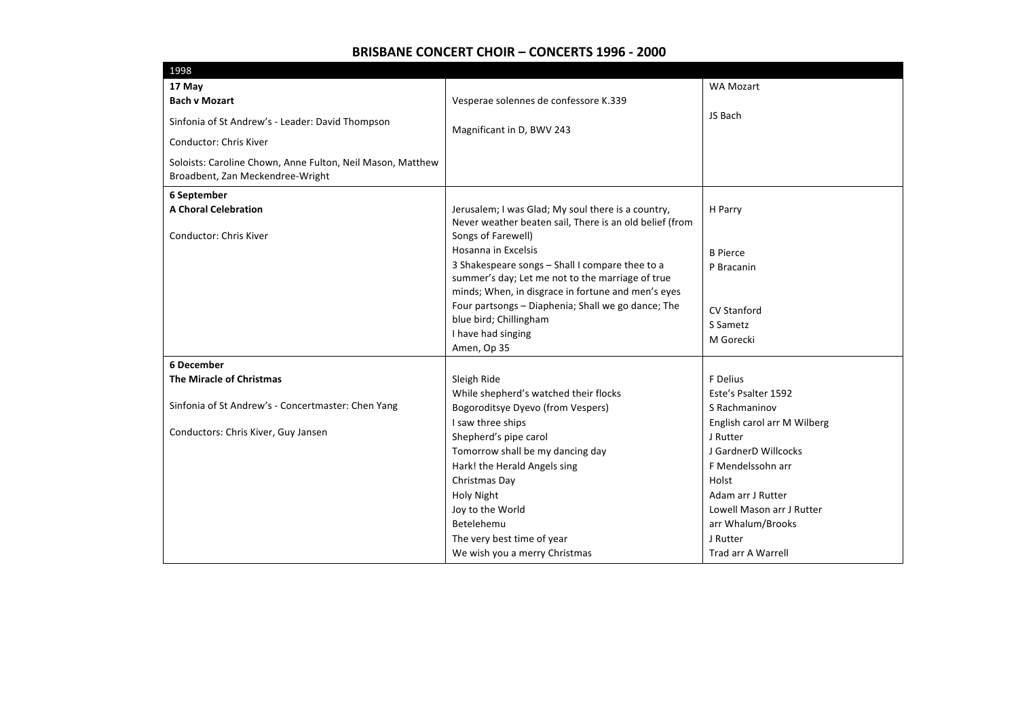| 17 May<br><b>WA Mozart</b><br><b>Bach v Mozart</b><br>Vesperae solennes de confessore K.339                                                                                                                    |  |
|----------------------------------------------------------------------------------------------------------------------------------------------------------------------------------------------------------------|--|
|                                                                                                                                                                                                                |  |
|                                                                                                                                                                                                                |  |
| JS Bach<br>Sinfonia of St Andrew's - Leader: David Thompson<br>Magnificant in D, BWV 243                                                                                                                       |  |
| Conductor: Chris Kiver                                                                                                                                                                                         |  |
| Soloists: Caroline Chown, Anne Fulton, Neil Mason, Matthew<br>Broadbent, Zan Meckendree-Wright                                                                                                                 |  |
| 6 September                                                                                                                                                                                                    |  |
| <b>A Choral Celebration</b><br>Jerusalem; I was Glad; My soul there is a country,<br>H Parry<br>Never weather beaten sail, There is an old belief (from<br>Songs of Farewell)<br><b>Conductor: Chris Kiver</b> |  |
| Hosanna in Excelsis<br><b>B</b> Pierce                                                                                                                                                                         |  |
| 3 Shakespeare songs - Shall I compare thee to a<br>P Bracanin                                                                                                                                                  |  |
| summer's day; Let me not to the marriage of true                                                                                                                                                               |  |
| minds; When, in disgrace in fortune and men's eyes                                                                                                                                                             |  |
| Four partsongs - Diaphenia; Shall we go dance; The<br><b>CV Stanford</b>                                                                                                                                       |  |
| blue bird; Chillingham<br>S Sametz                                                                                                                                                                             |  |
| I have had singing<br>M Gorecki                                                                                                                                                                                |  |
| Amen, Op 35                                                                                                                                                                                                    |  |
| 6 December                                                                                                                                                                                                     |  |
| The Miracle of Christmas<br>Sleigh Ride<br>F Delius                                                                                                                                                            |  |
| Este's Psalter 1592<br>While shepherd's watched their flocks<br>Sinfonia of St Andrew's - Concertmaster: Chen Yang                                                                                             |  |
| Bogoroditsye Dyevo (from Vespers)<br>S Rachmaninov<br>I saw three ships                                                                                                                                        |  |
| English carol arr M Wilberg<br>Conductors: Chris Kiver, Guy Jansen<br>Shepherd's pipe carol<br>J Rutter                                                                                                        |  |
| Tomorrow shall be my dancing day<br>J GardnerD Willcocks                                                                                                                                                       |  |
| Hark! the Herald Angels sing<br>F Mendelssohn arr                                                                                                                                                              |  |
| Christmas Day<br>Holst                                                                                                                                                                                         |  |
| <b>Holy Night</b><br>Adam arr J Rutter                                                                                                                                                                         |  |
| Joy to the World<br>Lowell Mason arr J Rutter                                                                                                                                                                  |  |
| Betelehemu<br>arr Whalum/Brooks                                                                                                                                                                                |  |
| The very best time of year<br>J Rutter                                                                                                                                                                         |  |
| We wish you a merry Christmas<br><b>Trad arr A Warrell</b>                                                                                                                                                     |  |